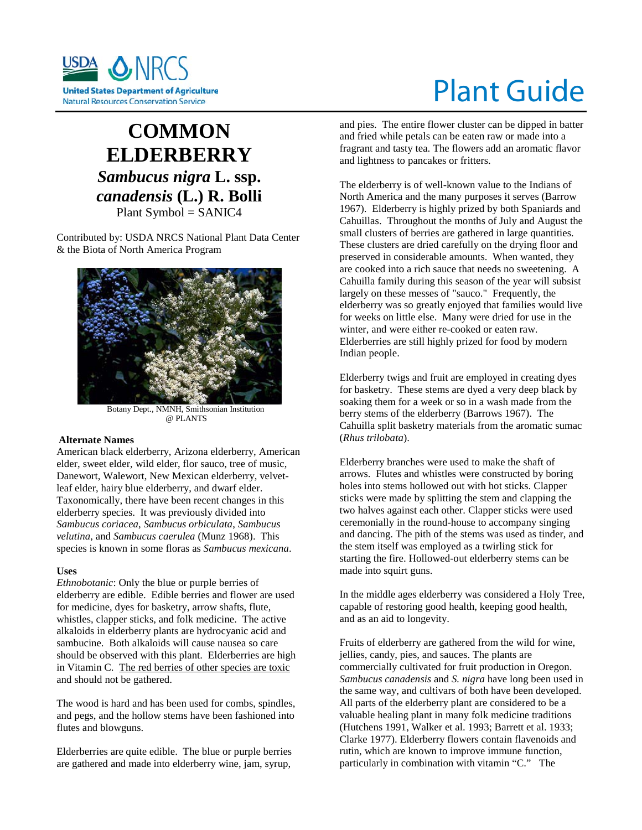

# **COMMON ELDERBERRY** *Sambucus nigra* **L. ssp.**  *canadensis* **(L.) R. Bolli** Plant Symbol = SANIC4

Contributed by: USDA NRCS National Plant Data Center

& the Biota of North America Program



 Botany Dept., NMNH, Smithsonian Institution @ PLANTS

#### **Alternate Names**

American black elderberry, Arizona elderberry, American elder, sweet elder, wild elder, flor sauco, tree of music, Danewort, Walewort, New Mexican elderberry, velvetleaf elder, hairy blue elderberry, and dwarf elder. Taxonomically, there have been recent changes in this elderberry species. It was previously divided into *Sambucus coriacea*, *Sambucus orbiculata*, *Sambucus velutina*, and *Sambucus caerulea* (Munz 1968). This species is known in some floras as *Sambucus mexicana*.

#### **Uses**

*Ethnobotanic*: Only the blue or purple berries of elderberry are edible. Edible berries and flower are used for medicine, dyes for basketry, arrow shafts, flute, whistles, clapper sticks, and folk medicine. The active alkaloids in elderberry plants are hydrocyanic acid and sambucine. Both alkaloids will cause nausea so care should be observed with this plant. Elderberries are high in Vitamin C. The red berries of other species are toxic and should not be gathered.

The wood is hard and has been used for combs, spindles, and pegs, and the hollow stems have been fashioned into flutes and blowguns.

Elderberries are quite edible. The blue or purple berries are gathered and made into elderberry wine, jam, syrup,

# Plant Guide

and pies. The entire flower cluster can be dipped in batter and fried while petals can be eaten raw or made into a fragrant and tasty tea. The flowers add an aromatic flavor and lightness to pancakes or fritters.

The elderberry is of well-known value to the Indians of North America and the many purposes it serves (Barrow 1967). Elderberry is highly prized by both Spaniards and Cahuillas. Throughout the months of July and August the small clusters of berries are gathered in large quantities. These clusters are dried carefully on the drying floor and preserved in considerable amounts. When wanted, they are cooked into a rich sauce that needs no sweetening. A Cahuilla family during this season of the year will subsist largely on these messes of "sauco." Frequently, the elderberry was so greatly enjoyed that families would live for weeks on little else. Many were dried for use in the winter, and were either re-cooked or eaten raw. Elderberries are still highly prized for food by modern Indian people.

Elderberry twigs and fruit are employed in creating dyes for basketry. These stems are dyed a very deep black by soaking them for a week or so in a wash made from the berry stems of the elderberry (Barrows 1967). The Cahuilla split basketry materials from the aromatic sumac (*Rhus trilobata*).

Elderberry branches were used to make the shaft of arrows. Flutes and whistles were constructed by boring holes into stems hollowed out with hot sticks. Clapper sticks were made by splitting the stem and clapping the two halves against each other. Clapper sticks were used ceremonially in the round-house to accompany singing and dancing. The pith of the stems was used as tinder, and the stem itself was employed as a twirling stick for starting the fire. Hollowed-out elderberry stems can be made into squirt guns.

In the middle ages elderberry was considered a Holy Tree, capable of restoring good health, keeping good health, and as an aid to longevity.

Fruits of elderberry are gathered from the wild for wine, jellies, candy, pies, and sauces. The plants are commercially cultivated for fruit production in Oregon. *Sambucus canadensis* and *S. nigra* have long been used in the same way, and cultivars of both have been developed. All parts of the elderberry plant are considered to be a valuable healing plant in many folk medicine traditions (Hutchens 1991, Walker et al. 1993; Barrett et al. 1933; Clarke 1977). Elderberry flowers contain flavenoids and rutin, which are known to improve immune function, particularly in combination with vitamin "C." The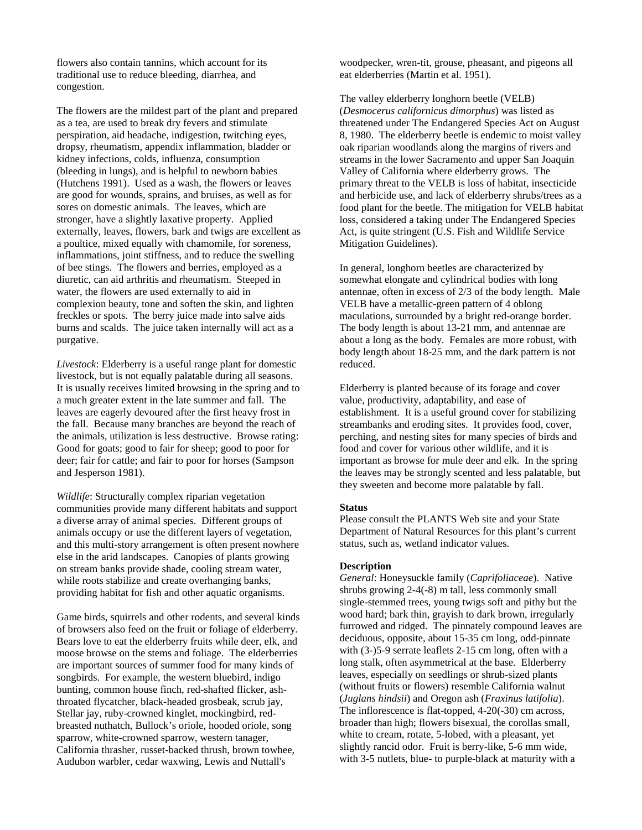flowers also contain tannins, which account for its traditional use to reduce bleeding, diarrhea, and congestion.

The flowers are the mildest part of the plant and prepared as a tea, are used to break dry fevers and stimulate perspiration, aid headache, indigestion, twitching eyes, dropsy, rheumatism, appendix inflammation, bladder or kidney infections, colds, influenza, consumption (bleeding in lungs), and is helpful to newborn babies (Hutchens 1991). Used as a wash, the flowers or leaves are good for wounds, sprains, and bruises, as well as for sores on domestic animals. The leaves, which are stronger, have a slightly laxative property. Applied externally, leaves, flowers, bark and twigs are excellent as a poultice, mixed equally with chamomile, for soreness, inflammations, joint stiffness, and to reduce the swelling of bee stings. The flowers and berries, employed as a diuretic, can aid arthritis and rheumatism. Steeped in water, the flowers are used externally to aid in complexion beauty, tone and soften the skin, and lighten freckles or spots. The berry juice made into salve aids burns and scalds. The juice taken internally will act as a purgative.

*Livestock*: Elderberry is a useful range plant for domestic livestock, but is not equally palatable during all seasons. It is usually receives limited browsing in the spring and to a much greater extent in the late summer and fall. The leaves are eagerly devoured after the first heavy frost in the fall. Because many branches are beyond the reach of the animals, utilization is less destructive. Browse rating: Good for goats; good to fair for sheep; good to poor for deer; fair for cattle; and fair to poor for horses (Sampson and Jesperson 1981).

*Wildlife*: Structurally complex riparian vegetation communities provide many different habitats and support a diverse array of animal species. Different groups of animals occupy or use the different layers of vegetation, and this multi-story arrangement is often present nowhere else in the arid landscapes. Canopies of plants growing on stream banks provide shade, cooling stream water, while roots stabilize and create overhanging banks, providing habitat for fish and other aquatic organisms.

Game birds, squirrels and other rodents, and several kinds of browsers also feed on the fruit or foliage of elderberry. Bears love to eat the elderberry fruits while deer, elk, and moose browse on the stems and foliage. The elderberries are important sources of summer food for many kinds of songbirds. For example, the western bluebird, indigo bunting, common house finch, red-shafted flicker, ashthroated flycatcher, black-headed grosbeak, scrub jay, Stellar jay, ruby-crowned kinglet, mockingbird, redbreasted nuthatch, Bullock's oriole, hooded oriole, song sparrow, white-crowned sparrow, western tanager, California thrasher, russet-backed thrush, brown towhee, Audubon warbler, cedar waxwing, Lewis and Nuttall's

woodpecker, wren-tit, grouse, pheasant, and pigeons all eat elderberries (Martin et al. 1951).

The valley elderberry longhorn beetle (VELB) (*Desmocerus californicus dimorphus*) was listed as threatened under The Endangered Species Act on August 8, 1980. The elderberry beetle is endemic to moist valley oak riparian woodlands along the margins of rivers and streams in the lower Sacramento and upper San Joaquin Valley of California where elderberry grows. The primary threat to the VELB is loss of habitat, insecticide and herbicide use, and lack of elderberry shrubs/trees as a food plant for the beetle. The mitigation for VELB habitat loss, considered a taking under The Endangered Species Act, is quite stringent (U.S. Fish and Wildlife Service Mitigation Guidelines).

In general, longhorn beetles are characterized by somewhat elongate and cylindrical bodies with long antennae, often in excess of 2/3 of the body length. Male VELB have a metallic-green pattern of 4 oblong maculations, surrounded by a bright red-orange border. The body length is about 13-21 mm, and antennae are about a long as the body. Females are more robust, with body length about 18-25 mm, and the dark pattern is not reduced.

Elderberry is planted because of its forage and cover value, productivity, adaptability, and ease of establishment. It is a useful ground cover for stabilizing streambanks and eroding sites. It provides food, cover, perching, and nesting sites for many species of birds and food and cover for various other wildlife, and it is important as browse for mule deer and elk. In the spring the leaves may be strongly scented and less palatable, but they sweeten and become more palatable by fall.

#### **Status**

Please consult the PLANTS Web site and your State Department of Natural Resources for this plant's current status, such as, wetland indicator values.

#### **Description**

*General*: Honeysuckle family (*Caprifoliaceae*). Native shrubs growing 2-4(-8) m tall, less commonly small single-stemmed trees, young twigs soft and pithy but the wood hard; bark thin, grayish to dark brown, irregularly furrowed and ridged. The pinnately compound leaves are deciduous, opposite, about 15-35 cm long, odd-pinnate with (3-)5-9 serrate leaflets 2-15 cm long, often with a long stalk, often asymmetrical at the base. Elderberry leaves, especially on seedlings or shrub-sized plants (without fruits or flowers) resemble California walnut (*Juglans hindsii*) and Oregon ash (*Fraxinus latifolia*). The inflorescence is flat-topped, 4-20(-30) cm across, broader than high; flowers bisexual, the corollas small, white to cream, rotate, 5-lobed, with a pleasant, yet slightly rancid odor. Fruit is berry-like, 5-6 mm wide, with 3-5 nutlets, blue- to purple-black at maturity with a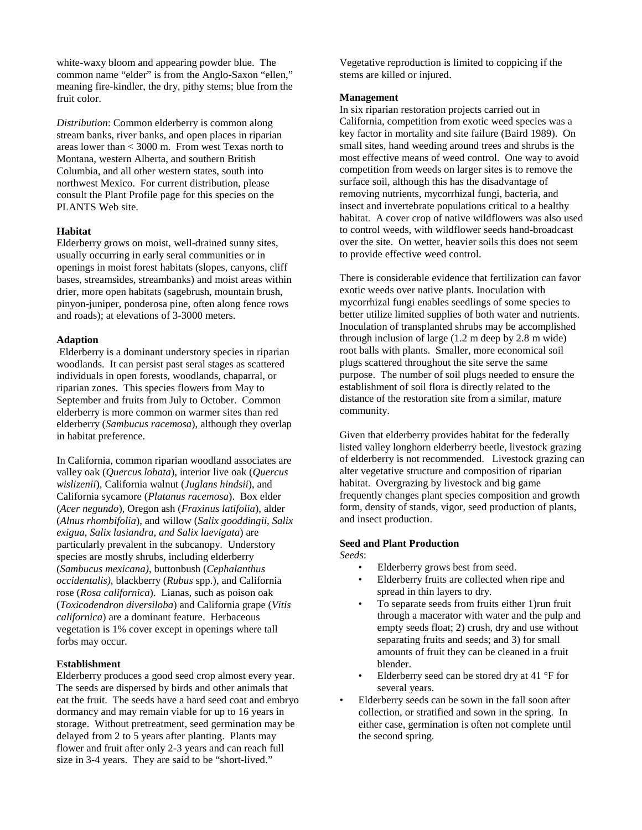white-waxy bloom and appearing powder blue. The common name "elder" is from the Anglo-Saxon "ellen," meaning fire-kindler, the dry, pithy stems; blue from the fruit color.

*Distribution*: Common elderberry is common along stream banks, river banks, and open places in riparian areas lower than < 3000 m. From west Texas north to Montana, western Alberta, and southern British Columbia, and all other western states, south into northwest Mexico. For current distribution, please consult the Plant Profile page for this species on the PLANTS Web site.

# **Habitat**

Elderberry grows on moist, well-drained sunny sites, usually occurring in early seral communities or in openings in moist forest habitats (slopes, canyons, cliff bases, streamsides, streambanks) and moist areas within drier, more open habitats (sagebrush, mountain brush, pinyon-juniper, ponderosa pine, often along fence rows and roads); at elevations of 3-3000 meters.

#### **Adaption**

Elderberry is a dominant understory species in riparian woodlands. It can persist past seral stages as scattered individuals in open forests, woodlands, chaparral, or riparian zones. This species flowers from May to September and fruits from July to October. Common elderberry is more common on warmer sites than red elderberry (*Sambucus racemosa*), although they overlap in habitat preference.

In California, common riparian woodland associates are valley oak (*Quercus lobata*), interior live oak (*Quercus wislizenii*), California walnut (*Juglans hindsii*), and California sycamore (*Platanus racemosa*). Box elder (*Acer negundo*), Oregon ash (*Fraxinus latifolia*), alder (*Alnus rhombifolia*), and willow (*Salix gooddingii, Salix exigua, Salix lasiandra, and Salix laevigata*) are particularly prevalent in the subcanopy. Understory species are mostly shrubs, including elderberry (*Sambucus mexicana)*, buttonbush (*Cephalanthus occidentalis)*, blackberry (*Rubus* spp.), and California rose (*Rosa californica*). Lianas, such as poison oak (*Toxicodendron diversiloba*) and California grape (*Vitis californica*) are a dominant feature. Herbaceous vegetation is 1% cover except in openings where tall forbs may occur.

# **Establishment**

Elderberry produces a good seed crop almost every year. The seeds are dispersed by birds and other animals that eat the fruit. The seeds have a hard seed coat and embryo dormancy and may remain viable for up to 16 years in storage. Without pretreatment, seed germination may be delayed from 2 to 5 years after planting. Plants may flower and fruit after only 2-3 years and can reach full size in 3-4 years. They are said to be "short-lived."

Vegetative reproduction is limited to coppicing if the stems are killed or injured.

#### **Management**

In six riparian restoration projects carried out in California, competition from exotic weed species was a key factor in mortality and site failure (Baird 1989). On small sites, hand weeding around trees and shrubs is the most effective means of weed control. One way to avoid competition from weeds on larger sites is to remove the surface soil, although this has the disadvantage of removing nutrients, mycorrhizal fungi, bacteria, and insect and invertebrate populations critical to a healthy habitat. A cover crop of native wildflowers was also used to control weeds, with wildflower seeds hand-broadcast over the site. On wetter, heavier soils this does not seem to provide effective weed control.

There is considerable evidence that fertilization can favor exotic weeds over native plants. Inoculation with mycorrhizal fungi enables seedlings of some species to better utilize limited supplies of both water and nutrients. Inoculation of transplanted shrubs may be accomplished through inclusion of large (1.2 m deep by 2.8 m wide) root balls with plants. Smaller, more economical soil plugs scattered throughout the site serve the same purpose. The number of soil plugs needed to ensure the establishment of soil flora is directly related to the distance of the restoration site from a similar, mature community.

Given that elderberry provides habitat for the federally listed valley longhorn elderberry beetle, livestock grazing of elderberry is not recommended. Livestock grazing can alter vegetative structure and composition of riparian habitat. Overgrazing by livestock and big game frequently changes plant species composition and growth form, density of stands, vigor, seed production of plants, and insect production.

#### **Seed and Plant Production** *Seeds*:

- Elderberry grows best from seed.
- Elderberry fruits are collected when ripe and spread in thin layers to dry.
- To separate seeds from fruits either 1)run fruit through a macerator with water and the pulp and empty seeds float; 2) crush, dry and use without separating fruits and seeds; and 3) for small amounts of fruit they can be cleaned in a fruit blender.
- Elderberry seed can be stored dry at 41 °F for several years.
- Elderberry seeds can be sown in the fall soon after collection, or stratified and sown in the spring. In either case, germination is often not complete until the second spring.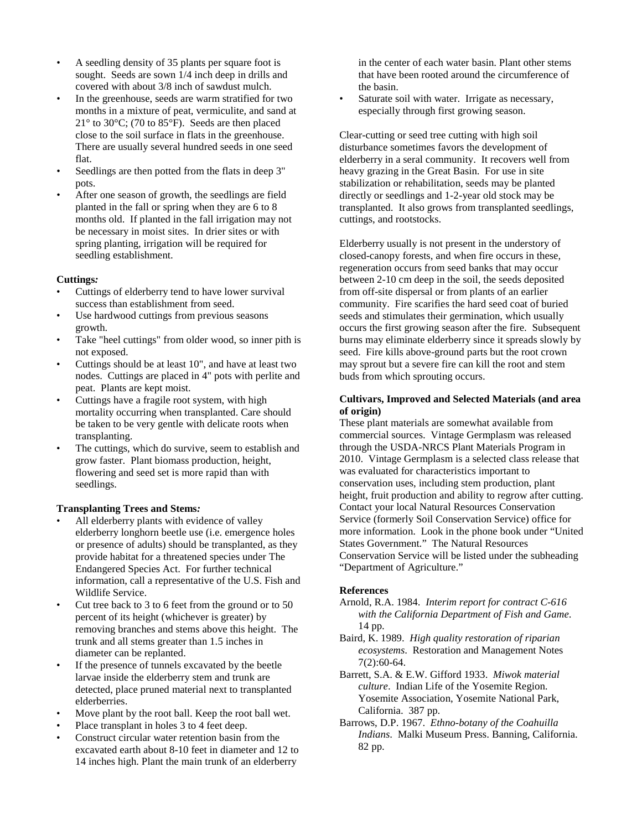- A seedling density of 35 plants per square foot is sought. Seeds are sown 1/4 inch deep in drills and covered with about 3/8 inch of sawdust mulch.
- In the greenhouse, seeds are warm stratified for two months in a mixture of peat, vermiculite, and sand at 21 $\degree$  to 30 $\degree$ C; (70 to 85 $\degree$ F). Seeds are then placed close to the soil surface in flats in the greenhouse. There are usually several hundred seeds in one seed flat.
- Seedlings are then potted from the flats in deep 3" pots.
- After one season of growth, the seedlings are field planted in the fall or spring when they are 6 to 8 months old. If planted in the fall irrigation may not be necessary in moist sites. In drier sites or with spring planting, irrigation will be required for seedling establishment.

#### **Cuttings***:*

- Cuttings of elderberry tend to have lower survival success than establishment from seed.
- Use hardwood cuttings from previous seasons growth.
- Take "heel cuttings" from older wood, so inner pith is not exposed.
- Cuttings should be at least 10", and have at least two nodes. Cuttings are placed in 4" pots with perlite and peat. Plants are kept moist.
- Cuttings have a fragile root system, with high mortality occurring when transplanted. Care should be taken to be very gentle with delicate roots when transplanting.
- The cuttings, which do survive, seem to establish and grow faster. Plant biomass production, height, flowering and seed set is more rapid than with seedlings.

# **Transplanting Trees and Stems***:*

- All elderberry plants with evidence of valley elderberry longhorn beetle use (i.e. emergence holes or presence of adults) should be transplanted, as they provide habitat for a threatened species under The Endangered Species Act. For further technical information, call a representative of the U.S. Fish and Wildlife Service.
- Cut tree back to 3 to 6 feet from the ground or to 50 percent of its height (whichever is greater) by removing branches and stems above this height. The trunk and all stems greater than 1.5 inches in diameter can be replanted.
- If the presence of tunnels excavated by the beetle larvae inside the elderberry stem and trunk are detected, place pruned material next to transplanted elderberries.
- Move plant by the root ball. Keep the root ball wet.
- Place transplant in holes 3 to 4 feet deep.
- Construct circular water retention basin from the excavated earth about 8-10 feet in diameter and 12 to 14 inches high. Plant the main trunk of an elderberry

in the center of each water basin. Plant other stems that have been rooted around the circumference of the basin.

Saturate soil with water. Irrigate as necessary, especially through first growing season.

Clear-cutting or seed tree cutting with high soil disturbance sometimes favors the development of elderberry in a seral community. It recovers well from heavy grazing in the Great Basin. For use in site stabilization or rehabilitation, seeds may be planted directly or seedlings and 1-2-year old stock may be transplanted. It also grows from transplanted seedlings, cuttings, and rootstocks.

Elderberry usually is not present in the understory of closed-canopy forests, and when fire occurs in these, regeneration occurs from seed banks that may occur between 2-10 cm deep in the soil, the seeds deposited from off-site dispersal or from plants of an earlier community. Fire scarifies the hard seed coat of buried seeds and stimulates their germination, which usually occurs the first growing season after the fire. Subsequent burns may eliminate elderberry since it spreads slowly by seed. Fire kills above-ground parts but the root crown may sprout but a severe fire can kill the root and stem buds from which sprouting occurs.

#### **Cultivars, Improved and Selected Materials (and area of origin)**

These plant materials are somewhat available from commercial sources. Vintage Germplasm was released through the USDA-NRCS Plant Materials Program in 2010. Vintage Germplasm is a selected class release that was evaluated for characteristics important to conservation uses, including stem production, plant height, fruit production and ability to regrow after cutting. Contact your local Natural Resources Conservation Service (formerly Soil Conservation Service) office for more information. Look in the phone book under "United States Government." The Natural Resources Conservation Service will be listed under the subheading "Department of Agriculture."

# **References**

- Arnold, R.A. 1984. *Interim report for contract C-616 with the California Department of Fish and Game*. 14 pp.
- Baird, K. 1989. *High quality restoration of riparian ecosystems*. Restoration and Management Notes 7(2):60-64.
- Barrett, S.A. & E.W. Gifford 1933. *Miwok material culture*. Indian Life of the Yosemite Region. Yosemite Association, Yosemite National Park, California. 387 pp.
- Barrows, D.P. 1967. *Ethno-botany of the Coahuilla Indians*. Malki Museum Press. Banning, California. 82 pp.